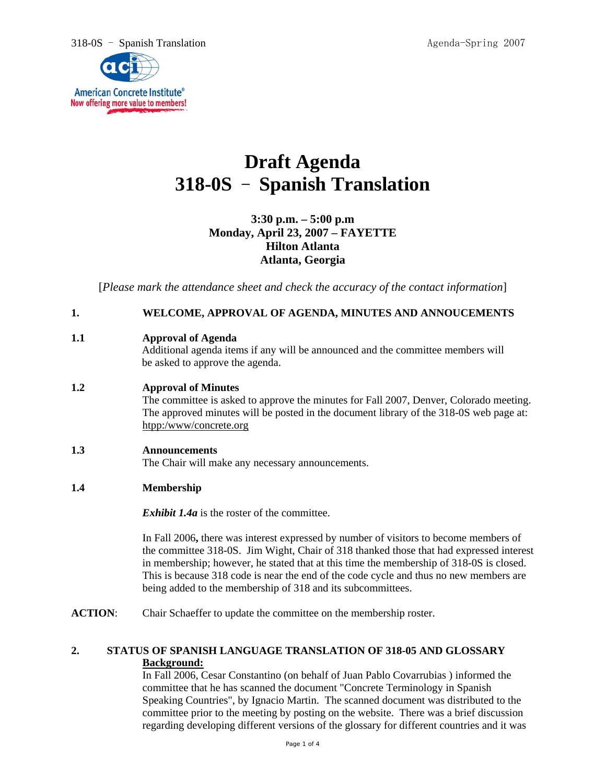318-0S - Spanish Translation Agenda-Spring 2007



# **Draft Agenda 318-0S** - **Spanish Translation**

# **3:30 p.m. – 5:00 p.m Monday, April 23, 2007 – FAYETTE Hilton Atlanta Atlanta, Georgia**

[*Please mark the attendance sheet and check the accuracy of the contact information*]

# **1. WELCOME, APPROVAL OF AGENDA, MINUTES AND ANNOUCEMENTS**

# **1.1 Approval of Agenda**

Additional agenda items if any will be announced and the committee members will be asked to approve the agenda.

## **1.2 Approval of Minutes**

The committee is asked to approve the minutes for Fall 2007, Denver, Colorado meeting. The approved minutes will be posted in the document library of the 318-0S web page at: htpp:/www/concrete.org

#### **1.3 Announcements**

The Chair will make any necessary announcements.

#### **1.4 Membership**

*Exhibit 1.4a* is the roster of the committee.

In Fall 2006**,** there was interest expressed by number of visitors to become members of the committee 318-0S. Jim Wight, Chair of 318 thanked those that had expressed interest in membership; however, he stated that at this time the membership of 318-0S is closed. This is because 318 code is near the end of the code cycle and thus no new members are being added to the membership of 318 and its subcommittees.

**ACTION:** Chair Schaeffer to update the committee on the membership roster.

#### **2. STATUS OF SPANISH LANGUAGE TRANSLATION OF 318-05 AND GLOSSARY Background:**

In Fall 2006, Cesar Constantino (on behalf of Juan Pablo Covarrubias ) informed the committee that he has scanned the document "Concrete Terminology in Spanish Speaking Countries", by Ignacio Martin. The scanned document was distributed to the committee prior to the meeting by posting on the website. There was a brief discussion regarding developing different versions of the glossary for different countries and it was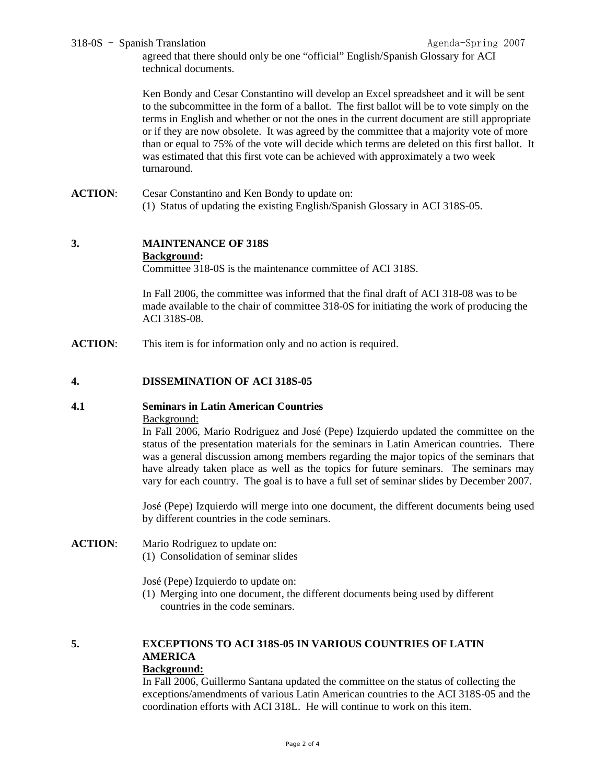#### 318-0S - Spanish Translation Agenda-Spring 2007

agreed that there should only be one "official" English/Spanish Glossary for ACI technical documents.

Ken Bondy and Cesar Constantino will develop an Excel spreadsheet and it will be sent to the subcommittee in the form of a ballot. The first ballot will be to vote simply on the terms in English and whether or not the ones in the current document are still appropriate or if they are now obsolete. It was agreed by the committee that a majority vote of more than or equal to 75% of the vote will decide which terms are deleted on this first ballot. It was estimated that this first vote can be achieved with approximately a two week turnaround.

**ACTION**: Cesar Constantino and Ken Bondy to update on: (1) Status of updating the existing English/Spanish Glossary in ACI 318S-05.

#### **3. MAINTENANCE OF 318S Background:**

Committee 318-0S is the maintenance committee of ACI 318S.

In Fall 2006, the committee was informed that the final draft of ACI 318-08 was to be made available to the chair of committee 318-0S for initiating the work of producing the ACI 318S-08.

**ACTION:** This item is for information only and no action is required.

#### **4. DISSEMINATION OF ACI 318S-05**

#### **4.1 Seminars in Latin American Countries**

Background:

In Fall 2006, Mario Rodriguez and José (Pepe) Izquierdo updated the committee on the status of the presentation materials for the seminars in Latin American countries. There was a general discussion among members regarding the major topics of the seminars that have already taken place as well as the topics for future seminars. The seminars may vary for each country. The goal is to have a full set of seminar slides by December 2007.

José (Pepe) Izquierdo will merge into one document, the different documents being used by different countries in the code seminars.

**ACTION**: Mario Rodriguez to update on: (1) Consolidation of seminar slides

José (Pepe) Izquierdo to update on:

(1) Merging into one document, the different documents being used by different countries in the code seminars.

# **5. EXCEPTIONS TO ACI 318S-05 IN VARIOUS COUNTRIES OF LATIN AMERICA**

#### **Background:**

In Fall 2006, Guillermo Santana updated the committee on the status of collecting the exceptions/amendments of various Latin American countries to the ACI 318S-05 and the coordination efforts with ACI 318L. He will continue to work on this item.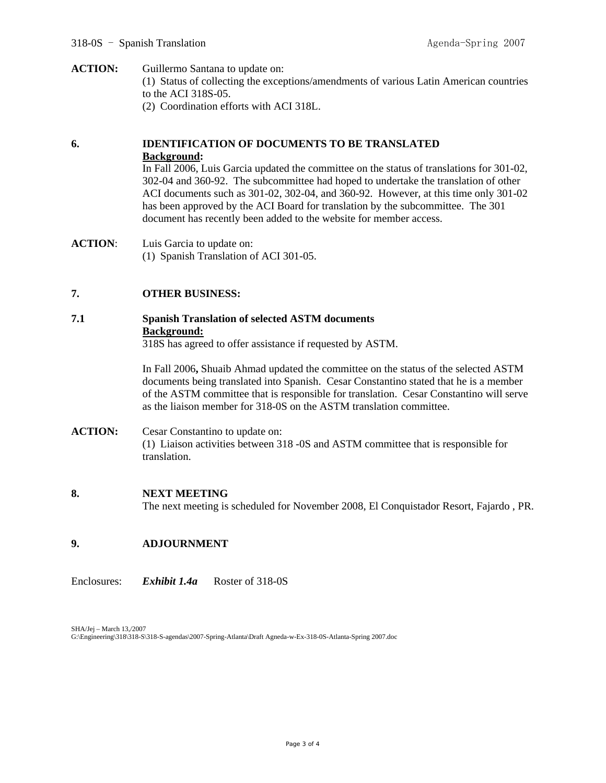**ACTION:** Guillermo Santana to update on: (1) Status of collecting the exceptions/amendments of various Latin American countries to the ACI 318S-05. (2) Coordination efforts with ACI 318L.

# **6. IDENTIFICATION OF DOCUMENTS TO BE TRANSLATED Background:**

In Fall 2006, Luis Garcia updated the committee on the status of translations for 301-02, 302-04 and 360-92. The subcommittee had hoped to undertake the translation of other ACI documents such as 301-02, 302-04, and 360-92. However, at this time only 301-02 has been approved by the ACI Board for translation by the subcommittee. The 301 document has recently been added to the website for member access.

**ACTION**: Luis Garcia to update on: (1) Spanish Translation of ACI 301-05.

#### **7. OTHER BUSINESS:**

# **7.1 Spanish Translation of selected ASTM documents Background:**

318S has agreed to offer assistance if requested by ASTM.

In Fall 2006**,** Shuaib Ahmad updated the committee on the status of the selected ASTM documents being translated into Spanish. Cesar Constantino stated that he is a member of the ASTM committee that is responsible for translation. Cesar Constantino will serve as the liaison member for 318-0S on the ASTM translation committee.

#### **ACTION:** Cesar Constantino to update on: (1) Liaison activities between 318 -0S and ASTM committee that is responsible for translation.

#### **8. NEXT MEETING**

The next meeting is scheduled for November 2008, El Conquistador Resort, Fajardo , PR.

# **9. ADJOURNMENT**

Enclosures: *Exhibit 1.4a* Roster of 318-0S

SHA/Jej – March 13,/2007 G:\Engineering\318\318-S\318-S-agendas\2007-Spring-Atlanta\Draft Agneda-w-Ex-318-0S-Atlanta-Spring 2007.doc